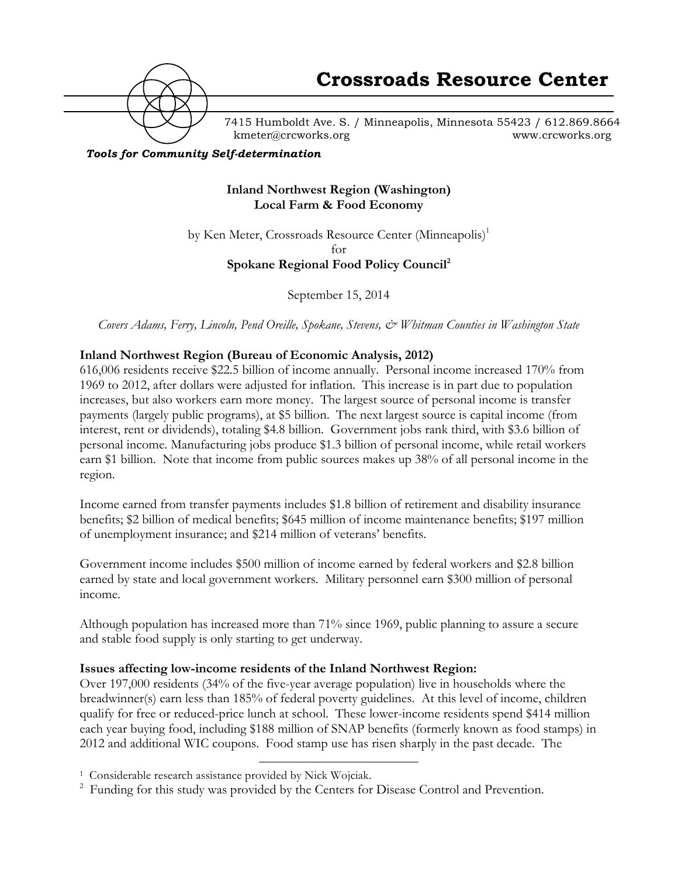

7415 Humboldt Ave. S. / Minneapolis, Minnesota 55423 / 612.869.8664 kmeter@crcworks.org www.crcworks.org

*Tools for Community Self-determination*

### **Inland Northwest Region (Washington) Local Farm & Food Economy**

by Ken Meter, Crossroads Resource Center (Minneapolis)<sup>1</sup>  $f_{\Omega}r$ **Spokane Regional Food Policy Council2**

September 15, 2014

*Covers Adams, Ferry, Lincoln, Pend Oreille, Spokane, Stevens, & Whitman Counties in Washington State*

#### **Inland Northwest Region (Bureau of Economic Analysis, 2012)**

616,006 residents receive \$22.5 billion of income annually. Personal income increased 170% from 1969 to 2012, after dollars were adjusted for inflation. This increase is in part due to population increases, but also workers earn more money. The largest source of personal income is transfer payments (largely public programs), at \$5 billion. The next largest source is capital income (from interest, rent or dividends), totaling \$4.8 billion. Government jobs rank third, with \$3.6 billion of personal income. Manufacturing jobs produce \$1.3 billion of personal income, while retail workers earn \$1 billion. Note that income from public sources makes up 38% of all personal income in the region.

Income earned from transfer payments includes \$1.8 billion of retirement and disability insurance benefits; \$2 billion of medical benefits; \$645 million of income maintenance benefits; \$197 million of unemployment insurance; and \$214 million of veterans' benefits.

Government income includes \$500 million of income earned by federal workers and \$2.8 billion earned by state and local government workers. Military personnel earn \$300 million of personal income.

Although population has increased more than 71% since 1969, public planning to assure a secure and stable food supply is only starting to get underway.

#### **Issues affecting low-income residents of the Inland Northwest Region:**

Over 197,000 residents (34% of the five-year average population) live in households where the breadwinner(s) earn less than 185% of federal poverty guidelines. At this level of income, children qualify for free or reduced-price lunch at school. These lower-income residents spend \$414 million each year buying food, including \$188 million of SNAP benefits (formerly known as food stamps) in 2012 and additional WIC coupons. Food stamp use has risen sharply in the past decade. The

 <sup>1</sup> Considerable research assistance provided by Nick Wojciak.

<sup>&</sup>lt;sup>2</sup> Funding for this study was provided by the Centers for Disease Control and Prevention.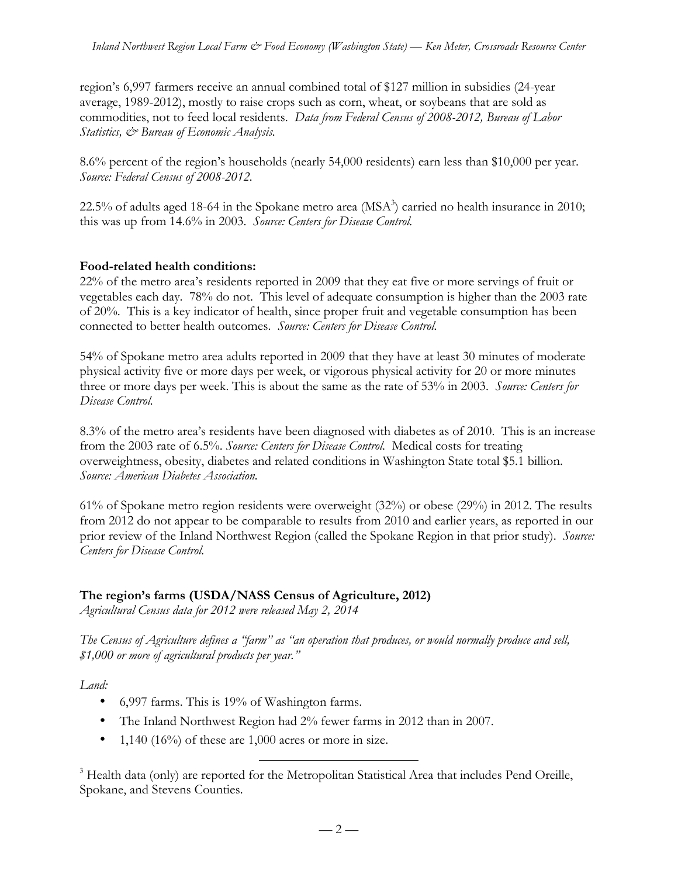region's 6,997 farmers receive an annual combined total of \$127 million in subsidies (24-year average, 1989-2012), mostly to raise crops such as corn, wheat, or soybeans that are sold as commodities, not to feed local residents. *Data from Federal Census of 2008-2012, Bureau of Labor Statistics, & Bureau of Economic Analysis.*

8.6% percent of the region's households (nearly 54,000 residents) earn less than \$10,000 per year. *Source: Federal Census of 2008-2012.*

22.5% of adults aged 18-64 in the Spokane metro area ( $MSA<sup>3</sup>$ ) carried no health insurance in 2010; this was up from 14.6% in 2003. *Source: Centers for Disease Control.*

### **Food-related health conditions:**

22% of the metro area's residents reported in 2009 that they eat five or more servings of fruit or vegetables each day. 78% do not. This level of adequate consumption is higher than the 2003 rate of 20%. This is a key indicator of health, since proper fruit and vegetable consumption has been connected to better health outcomes. *Source: Centers for Disease Control.*

54% of Spokane metro area adults reported in 2009 that they have at least 30 minutes of moderate physical activity five or more days per week, or vigorous physical activity for 20 or more minutes three or more days per week. This is about the same as the rate of 53% in 2003. *Source: Centers for Disease Control.*

8.3% of the metro area's residents have been diagnosed with diabetes as of 2010. This is an increase from the 2003 rate of 6.5%. *Source: Centers for Disease Control.* Medical costs for treating overweightness, obesity, diabetes and related conditions in Washington State total \$5.1 billion. *Source: American Diabetes Association.*

61% of Spokane metro region residents were overweight (32%) or obese (29%) in 2012. The results from 2012 do not appear to be comparable to results from 2010 and earlier years, as reported in our prior review of the Inland Northwest Region (called the Spokane Region in that prior study). *Source*: *Centers for Disease Control.*

### **The region's farms (USDA/NASS Census of Agriculture, 2012)**

*Agricultural Census data for 2012 were released May 2, 2014*

*The Census of Agriculture defines a "farm" as "an operation that produces, or would normally produce and sell, \$1,000 or more of agricultural products per year."*

### *Land:*

- 6,997 farms. This is 19% of Washington farms.
- The Inland Northwest Region had 2% fewer farms in 2012 than in 2007.
- 1,140 (16%) of these are 1,000 acres or more in size.

<sup>3</sup> Health data (only) are reported for the Metropolitan Statistical Area that includes Pend Oreille, Spokane, and Stevens Counties.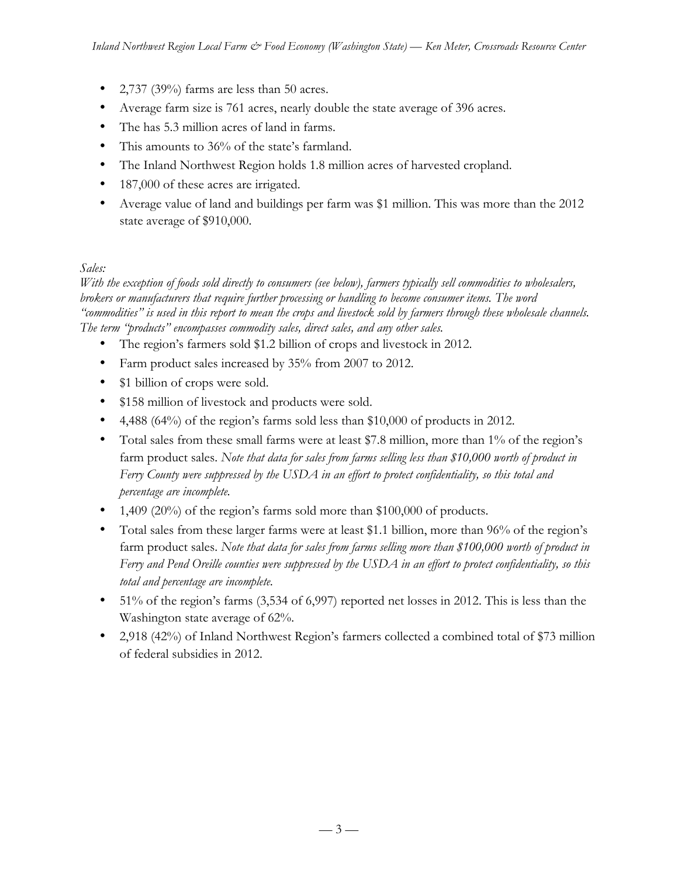- 2,737 (39%) farms are less than 50 acres.
- Average farm size is 761 acres, nearly double the state average of 396 acres.
- The has 5.3 million acres of land in farms.
- This amounts to 36% of the state's farmland.
- The Inland Northwest Region holds 1.8 million acres of harvested cropland.
- 187,000 of these acres are irrigated.
- Average value of land and buildings per farm was \$1 million. This was more than the 2012 state average of \$910,000.

#### *Sales:*

*With the exception of foods sold directly to consumers (see below), farmers typically sell commodities to wholesalers, brokers or manufacturers that require further processing or handling to become consumer items. The word "commodities" is used in this report to mean the crops and livestock sold by farmers through these wholesale channels. The term "products" encompasses commodity sales, direct sales, and any other sales.* 

- The region's farmers sold \$1.2 billion of crops and livestock in 2012.
- Farm product sales increased by 35% from 2007 to 2012.
- \$1 billion of crops were sold.
- \$158 million of livestock and products were sold.
- 4,488 (64%) of the region's farms sold less than \$10,000 of products in 2012.
- Total sales from these small farms were at least \$7.8 million, more than 1% of the region's farm product sales. *Note that data for sales from farms selling less than \$10,000 worth of product in Ferry County were suppressed by the USDA in an effort to protect confidentiality, so this total and percentage are incomplete.*
- 1,409 (20%) of the region's farms sold more than \$100,000 of products.
- Total sales from these larger farms were at least \$1.1 billion, more than 96% of the region's farm product sales. *Note that data for sales from farms selling more than \$100,000 worth of product in Ferry and Pend Oreille counties were suppressed by the USDA in an effort to protect confidentiality, so this total and percentage are incomplete.*
- 51% of the region's farms (3,534 of 6,997) reported net losses in 2012. This is less than the Washington state average of 62%.
- 2,918 (42%) of Inland Northwest Region's farmers collected a combined total of \$73 million of federal subsidies in 2012.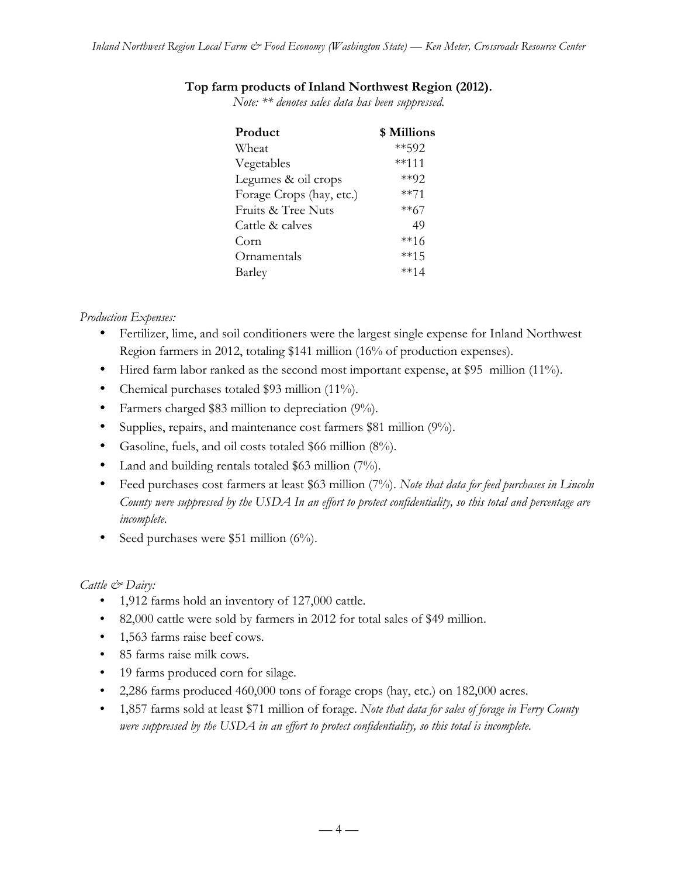#### **Top farm products of Inland Northwest Region (2012).**

*Note: \*\* denotes sales data has been suppressed.*

| Product                  | \$ Millions |
|--------------------------|-------------|
| Wheat                    | **592       |
| Vegetables               | $***111$    |
| Legumes & oil crops      | $*$ $92$    |
| Forage Crops (hay, etc.) | $***71$     |
| Fruits & Tree Nuts       | $**67$      |
| Cattle & calves          | 49          |
| Corn                     | **16        |
| Ornamentals              | $***15$     |
| Barley                   | $***14$     |
|                          |             |

#### *Production Expenses:*

- Fertilizer, lime, and soil conditioners were the largest single expense for Inland Northwest Region farmers in 2012, totaling \$141 million (16% of production expenses).
- Hired farm labor ranked as the second most important expense, at \$95 million (11%).
- Chemical purchases totaled \$93 million (11%).
- Farmers charged \$83 million to depreciation (9%).
- Supplies, repairs, and maintenance cost farmers \$81 million (9%).
- Gasoline, fuels, and oil costs totaled \$66 million (8%).
- Land and building rentals totaled \$63 million (7%).
- Feed purchases cost farmers at least \$63 million (7%). *Note that data for feed purchases in Lincoln County were suppressed by the USDA In an effort to protect confidentiality, so this total and percentage are incomplete.*
- Seed purchases were \$51 million (6%).

#### *Cattle & Dairy:*

- 1,912 farms hold an inventory of 127,000 cattle.
- 82,000 cattle were sold by farmers in 2012 for total sales of \$49 million.
- 1,563 farms raise beef cows.
- 85 farms raise milk cows.
- 19 farms produced corn for silage.
- 2,286 farms produced 460,000 tons of forage crops (hay, etc.) on 182,000 acres.
- 1,857 farms sold at least \$71 million of forage. *Note that data for sales of forage in Ferry County were suppressed by the USDA in an effort to protect confidentiality, so this total is incomplete.*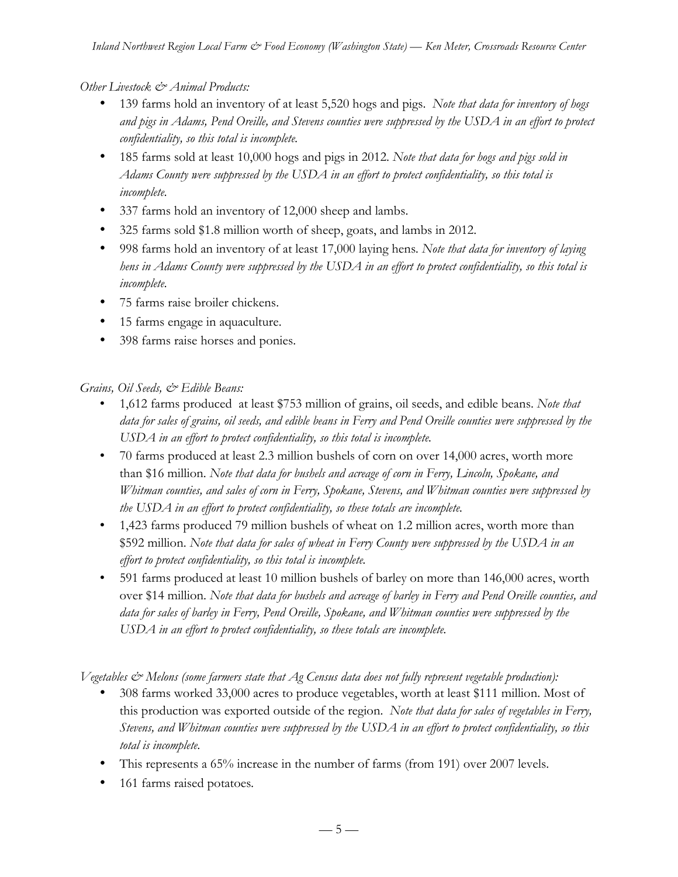### *Other Livestock & Animal Products:*

- 139 farms hold an inventory of at least 5,520 hogs and pigs. *Note that data for inventory of hogs and pigs in Adams, Pend Oreille, and Stevens counties were suppressed by the USDA in an effort to protect confidentiality, so this total is incomplete.*
- 185 farms sold at least 10,000 hogs and pigs in 2012. *Note that data for hogs and pigs sold in Adams County were suppressed by the USDA in an effort to protect confidentiality, so this total is incomplete.*
- 337 farms hold an inventory of 12,000 sheep and lambs.
- 325 farms sold \$1.8 million worth of sheep, goats, and lambs in 2012.
- 998 farms hold an inventory of at least 17,000 laying hens*. Note that data for inventory of laying hens in Adams County were suppressed by the USDA in an effort to protect confidentiality, so this total is incomplete.*
- 75 farms raise broiler chickens.
- 15 farms engage in aquaculture.
- 398 farms raise horses and ponies.

#### *Grains, Oil Seeds, & Edible Beans:*

- 1,612 farms produced at least \$753 million of grains, oil seeds, and edible beans. *Note that data for sales of grains, oil seeds, and edible beans in Ferry and Pend Oreille counties were suppressed by the USDA in an effort to protect confidentiality, so this total is incomplete.*
- 70 farms produced at least 2.3 million bushels of corn on over 14,000 acres, worth more than \$16 million. *Note that data for bushels and acreage of corn in Ferry, Lincoln, Spokane, and Whitman counties, and sales of corn in Ferry, Spokane, Stevens, and Whitman counties were suppressed by the USDA in an effort to protect confidentiality, so these totals are incomplete.*
- 1,423 farms produced 79 million bushels of wheat on 1.2 million acres, worth more than \$592 million. *Note that data for sales of wheat in Ferry County were suppressed by the USDA in an effort to protect confidentiality, so this total is incomplete.*
- 591 farms produced at least 10 million bushels of barley on more than 146,000 acres, worth over \$14 million. *Note that data for bushels and acreage of barley in Ferry and Pend Oreille counties, and data for sales of barley in Ferry, Pend Oreille, Spokane, and Whitman counties were suppressed by the USDA in an effort to protect confidentiality, so these totals are incomplete.*

*Vegetables & Melons (some farmers state that Ag Census data does not fully represent vegetable production):*

- 308 farms worked 33,000 acres to produce vegetables, worth at least \$111 million. Most of this production was exported outside of the region. *Note that data for sales of vegetables in Ferry, Stevens, and Whitman counties were suppressed by the USDA in an effort to protect confidentiality, so this total is incomplete.*
- This represents a 65% increase in the number of farms (from 191) over 2007 levels.
- 161 farms raised potatoes*.*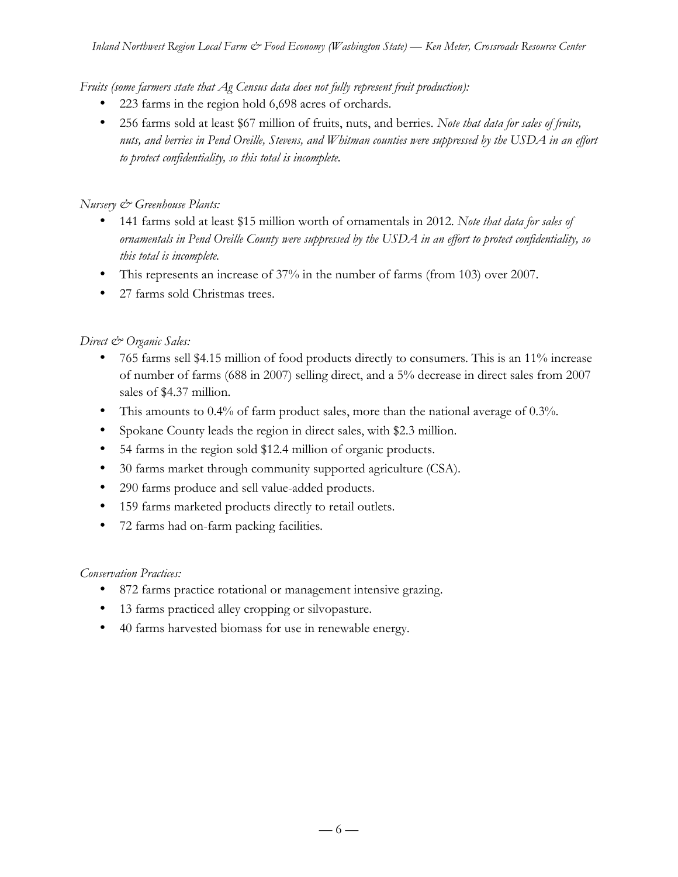*Fruits (some farmers state that Ag Census data does not fully represent fruit production):*

- 223 farms in the region hold 6,698 acres of orchards.
- 256 farms sold at least \$67 million of fruits, nuts, and berries*. Note that data for sales of fruits, nuts, and berries in Pend Oreille, Stevens, and Whitman counties were suppressed by the USDA in an effort to protect confidentiality, so this total is incomplete.*

### *Nursery & Greenhouse Plants:*

- 141 farms sold at least \$15 million worth of ornamentals in 2012. *Note that data for sales of ornamentals in Pend Oreille County were suppressed by the USDA in an effort to protect confidentiality, so this total is incomplete.*
- This represents an increase of 37% in the number of farms (from 103) over 2007.
- 27 farms sold Christmas trees.

### *Direct & Organic Sales:*

- 765 farms sell \$4.15 million of food products directly to consumers. This is an 11% increase of number of farms (688 in 2007) selling direct, and a 5% decrease in direct sales from 2007 sales of \$4.37 million.
- This amounts to 0.4% of farm product sales, more than the national average of 0.3%.
- Spokane County leads the region in direct sales, with \$2.3 million.
- 54 farms in the region sold \$12.4 million of organic products.
- 30 farms market through community supported agriculture (CSA).
- 290 farms produce and sell value-added products.
- 159 farms marketed products directly to retail outlets.
- 72 farms had on-farm packing facilities*.*

#### *Conservation Practices:*

- 872 farms practice rotational or management intensive grazing.
- 13 farms practiced alley cropping or silvopasture.
- 40 farms harvested biomass for use in renewable energy.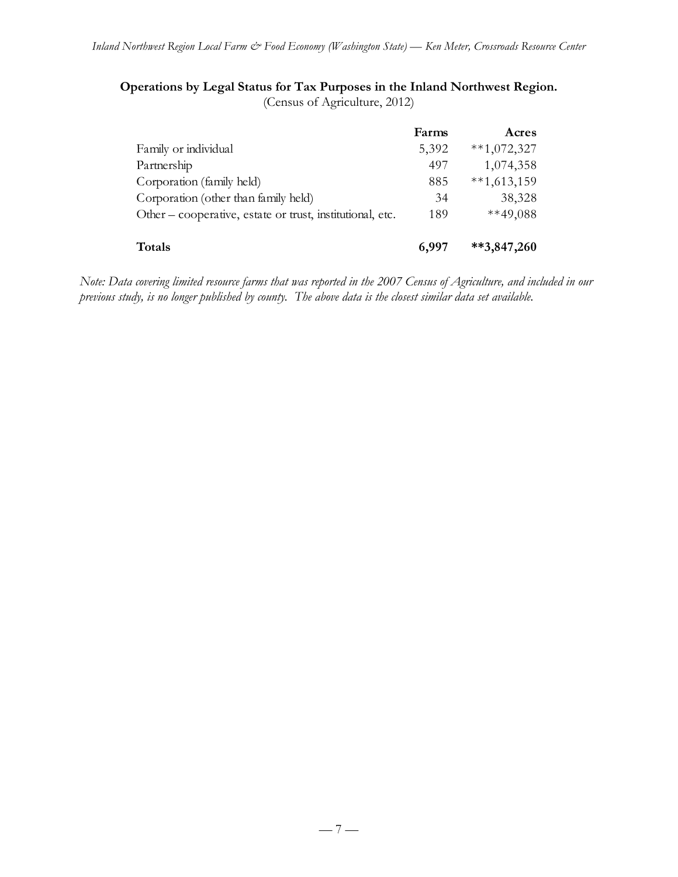# **Operations by Legal Status for Tax Purposes in the Inland Northwest Region.**

(Census of Agriculture, 2012)

|                                                           | Farms | Acres         |
|-----------------------------------------------------------|-------|---------------|
| Family or individual                                      | 5,392 | $**1,072,327$ |
| Partnership                                               | 497   | 1,074,358     |
| Corporation (family held)                                 | 885   | $**1,613,159$ |
| Corporation (other than family held)                      | 34    | 38,328        |
| Other – cooperative, estate or trust, institutional, etc. | 189   | $**49,088$    |
| <b>Totals</b>                                             | 6,997 | $**3,847,260$ |

*Note: Data covering limited resource farms that was reported in the 2007 Census of Agriculture, and included in our previous study, is no longer published by county. The above data is the closest similar data set available.*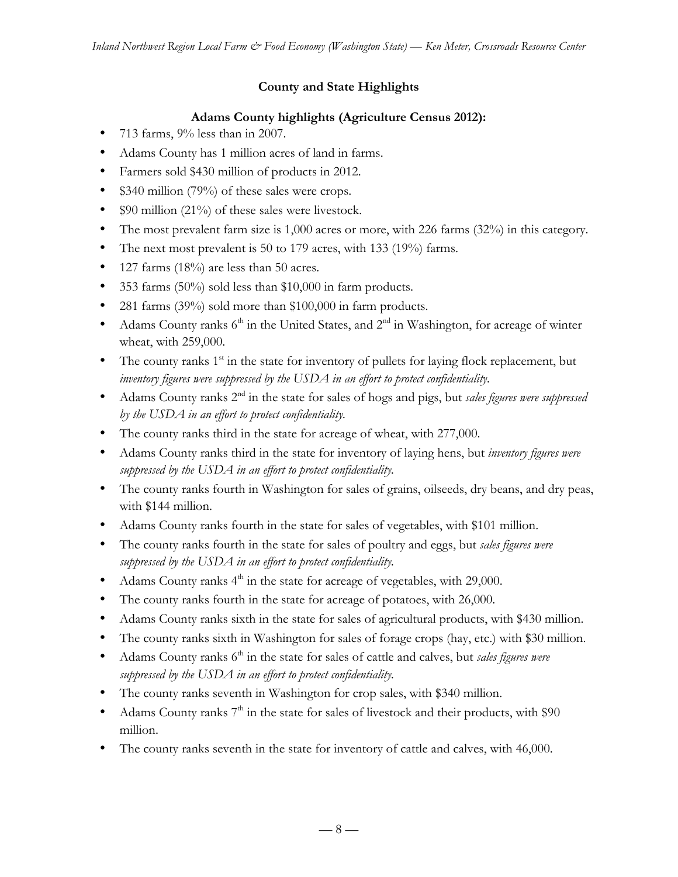## **County and State Highlights**

## **Adams County highlights (Agriculture Census 2012):**

- 713 farms, 9% less than in 2007.
- Adams County has 1 million acres of land in farms.
- Farmers sold \$430 million of products in 2012.
- \$340 million (79%) of these sales were crops.
- \$90 million (21%) of these sales were livestock.
- The most prevalent farm size is 1,000 acres or more, with 226 farms (32%) in this category.
- The next most prevalent is 50 to 179 acres, with 133 (19%) farms.
- 127 farms (18%) are less than 50 acres.
- 353 farms (50%) sold less than \$10,000 in farm products.
- 281 farms (39%) sold more than \$100,000 in farm products.
- Adams County ranks  $6<sup>th</sup>$  in the United States, and  $2<sup>nd</sup>$  in Washington, for acreage of winter wheat, with 259,000.
- The county ranks  $1<sup>st</sup>$  in the state for inventory of pullets for laying flock replacement, but *inventory figures were suppressed by the USDA in an effort to protect confidentiality.*
- Adams County ranks 2nd in the state for sales of hogs and pigs, but *sales figures were suppressed by the USDA in an effort to protect confidentiality.*
- The county ranks third in the state for acreage of wheat, with 277,000.
- Adams County ranks third in the state for inventory of laying hens, but *inventory figures were suppressed by the USDA in an effort to protect confidentiality.*
- The county ranks fourth in Washington for sales of grains, oilseeds, dry beans, and dry peas, with \$144 million.
- Adams County ranks fourth in the state for sales of vegetables, with \$101 million.
- The county ranks fourth in the state for sales of poultry and eggs, but *sales figures were suppressed by the USDA in an effort to protect confidentiality.*
- Adams County ranks  $4<sup>th</sup>$  in the state for acreage of vegetables, with 29,000.
- The county ranks fourth in the state for acreage of potatoes, with 26,000.
- Adams County ranks sixth in the state for sales of agricultural products, with \$430 million.
- The county ranks sixth in Washington for sales of forage crops (hay, etc.) with \$30 million.
- Adams County ranks 6<sup>th</sup> in the state for sales of cattle and calves, but *sales figures were suppressed by the USDA in an effort to protect confidentiality.*
- The county ranks seventh in Washington for crop sales, with \$340 million.
- Adams County ranks  $7<sup>th</sup>$  in the state for sales of livestock and their products, with \$90 million.
- The county ranks seventh in the state for inventory of cattle and calves, with 46,000.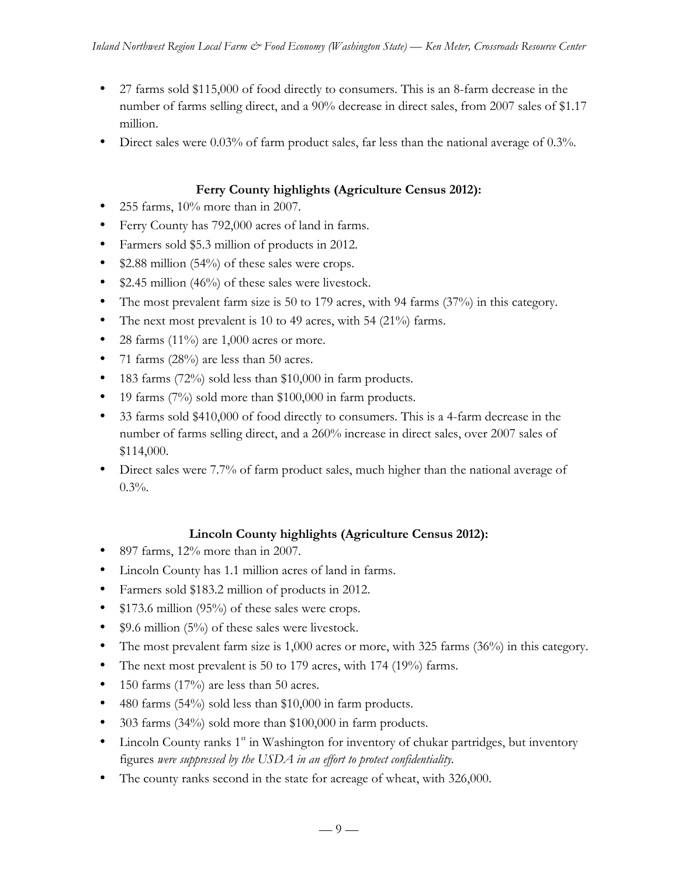- 27 farms sold \$115,000 of food directly to consumers. This is an 8-farm decrease in the number of farms selling direct, and a 90% decrease in direct sales, from 2007 sales of \$1.17 million.
- Direct sales were 0.03% of farm product sales, far less than the national average of 0.3%.

### **Ferry County highlights (Agriculture Census 2012):**

- 255 farms, 10% more than in 2007.
- Ferry County has 792,000 acres of land in farms.
- Farmers sold \$5.3 million of products in 2012.
- \$2.88 million (54%) of these sales were crops.
- \$2.45 million (46%) of these sales were livestock.
- The most prevalent farm size is 50 to 179 acres, with 94 farms (37%) in this category.
- The next most prevalent is 10 to 49 acres, with 54 (21%) farms.
- 28 farms  $(11\%)$  are 1,000 acres or more.
- 71 farms (28%) are less than 50 acres.
- 183 farms (72%) sold less than \$10,000 in farm products.
- 19 farms (7%) sold more than \$100,000 in farm products.
- 33 farms sold \$410,000 of food directly to consumers. This is a 4-farm decrease in the number of farms selling direct, and a 260% increase in direct sales, over 2007 sales of \$114,000.
- Direct sales were 7.7% of farm product sales, much higher than the national average of  $0.3%$ .

### **Lincoln County highlights (Agriculture Census 2012):**

- 897 farms,  $12\%$  more than in 2007.
- Lincoln County has 1.1 million acres of land in farms.
- Farmers sold \$183.2 million of products in 2012.
- \$173.6 million (95%) of these sales were crops.
- \$9.6 million  $(5\%)$  of these sales were livestock.
- The most prevalent farm size is 1,000 acres or more, with 325 farms (36%) in this category.
- The next most prevalent is 50 to 179 acres, with 174 (19%) farms.
- 150 farms  $(17%)$  are less than 50 acres.
- 480 farms (54%) sold less than \$10,000 in farm products.
- 303 farms (34%) sold more than \$100,000 in farm products.
- Lincoln County ranks  $1<sup>st</sup>$  in Washington for inventory of chukar partridges, but inventory figures *were suppressed by the USDA in an effort to protect confidentiality.*
- The county ranks second in the state for acreage of wheat, with 326,000.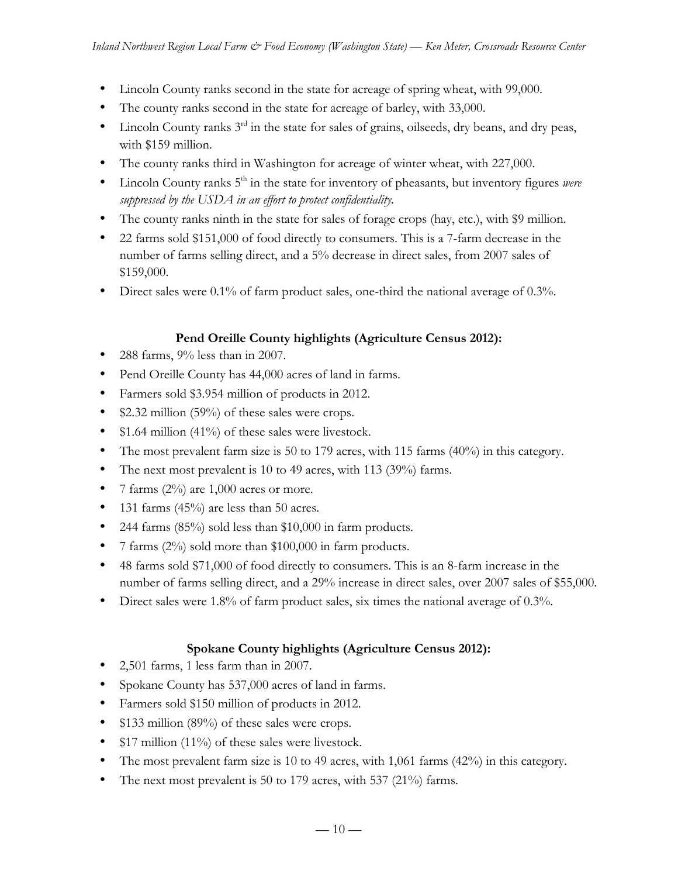- Lincoln County ranks second in the state for acreage of spring wheat, with 99,000.
- The county ranks second in the state for acreage of barley, with 33,000.
- Lincoln County ranks  $3^{rd}$  in the state for sales of grains, oilseeds, dry beans, and dry peas, with \$159 million.
- The county ranks third in Washington for acreage of winter wheat, with 227,000.
- Lincoln County ranks 5<sup>th</sup> in the state for inventory of pheasants, but inventory figures *were suppressed by the USDA in an effort to protect confidentiality.*
- The county ranks ninth in the state for sales of forage crops (hay, etc.), with \$9 million.
- 22 farms sold \$151,000 of food directly to consumers. This is a 7-farm decrease in the number of farms selling direct, and a 5% decrease in direct sales, from 2007 sales of \$159,000.
- Direct sales were 0.1% of farm product sales, one-third the national average of 0.3%.

### **Pend Oreille County highlights (Agriculture Census 2012):**

- 288 farms,  $9\%$  less than in 2007.
- Pend Oreille County has 44,000 acres of land in farms.
- Farmers sold \$3.954 million of products in 2012.
- \$2.32 million (59%) of these sales were crops.
- \$1.64 million (41%) of these sales were livestock.
- The most prevalent farm size is 50 to 179 acres, with 115 farms (40%) in this category.
- The next most prevalent is 10 to 49 acres, with 113 (39%) farms.
- 7 farms  $(2\%)$  are 1,000 acres or more.
- 131 farms  $(45%)$  are less than 50 acres.
- 244 farms (85%) sold less than \$10,000 in farm products.
- 7 farms (2%) sold more than \$100,000 in farm products.
- 48 farms sold \$71,000 of food directly to consumers. This is an 8-farm increase in the number of farms selling direct, and a 29% increase in direct sales, over 2007 sales of \$55,000.
- Direct sales were 1.8% of farm product sales, six times the national average of 0.3%.

### **Spokane County highlights (Agriculture Census 2012):**

- 2,501 farms, 1 less farm than in 2007.
- Spokane County has 537,000 acres of land in farms.
- Farmers sold \$150 million of products in 2012.
- \$133 million (89%) of these sales were crops.
- \$17 million (11%) of these sales were livestock.
- The most prevalent farm size is 10 to 49 acres, with 1,061 farms (42%) in this category.
- The next most prevalent is 50 to 179 acres, with 537 (21%) farms.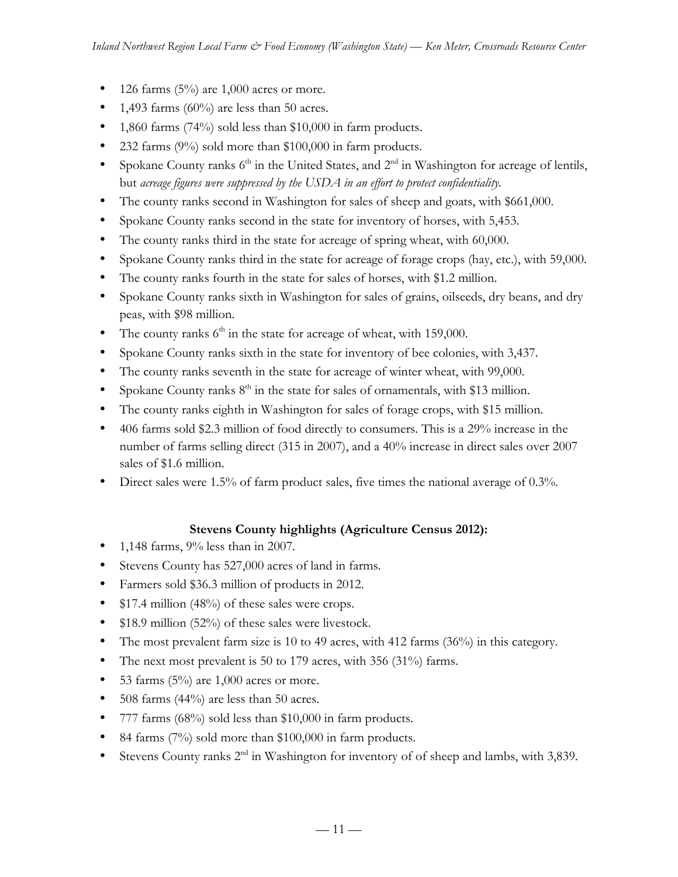- 126 farms  $(5\%)$  are 1,000 acres or more.
- 1,493 farms  $(60\%)$  are less than 50 acres.
- 1,860 farms (74%) sold less than \$10,000 in farm products.
- 232 farms (9%) sold more than \$100,000 in farm products.
- Spokane County ranks  $6<sup>th</sup>$  in the United States, and  $2<sup>nd</sup>$  in Washington for acreage of lentils, but *acreage figures were suppressed by the USDA in an effort to protect confidentiality.*
- The county ranks second in Washington for sales of sheep and goats, with \$661,000.
- Spokane County ranks second in the state for inventory of horses, with 5,453.
- The county ranks third in the state for acreage of spring wheat, with 60,000.
- Spokane County ranks third in the state for acreage of forage crops (hay, etc.), with 59,000.
- The county ranks fourth in the state for sales of horses, with \$1.2 million.
- Spokane County ranks sixth in Washington for sales of grains, oilseeds, dry beans, and dry peas, with \$98 million.
- The county ranks  $6<sup>th</sup>$  in the state for acreage of wheat, with 159,000.
- Spokane County ranks sixth in the state for inventory of bee colonies, with 3,437.
- The county ranks seventh in the state for acreage of winter wheat, with 99,000.
- Spokane County ranks  $8<sup>th</sup>$  in the state for sales of ornamentals, with \$13 million.
- The county ranks eighth in Washington for sales of forage crops, with \$15 million.
- 406 farms sold \$2.3 million of food directly to consumers. This is a 29% increase in the number of farms selling direct (315 in 2007), and a 40% increase in direct sales over 2007 sales of \$1.6 million.
- Direct sales were 1.5% of farm product sales, five times the national average of 0.3%.

### **Stevens County highlights (Agriculture Census 2012):**

- 1,148 farms, 9% less than in 2007.
- Stevens County has 527,000 acres of land in farms.
- Farmers sold \$36.3 million of products in 2012.
- \$17.4 million (48%) of these sales were crops.
- \$18.9 million (52%) of these sales were livestock.
- The most prevalent farm size is 10 to 49 acres, with 412 farms (36%) in this category.
- The next most prevalent is 50 to 179 acres, with 356 (31%) farms.
- 53 farms  $(5\%)$  are 1,000 acres or more.
- 508 farms (44%) are less than 50 acres.
- 777 farms (68%) sold less than \$10,000 in farm products.
- 84 farms (7%) sold more than \$100,000 in farm products.
- Stevens County ranks  $2<sup>nd</sup>$  in Washington for inventory of of sheep and lambs, with 3,839.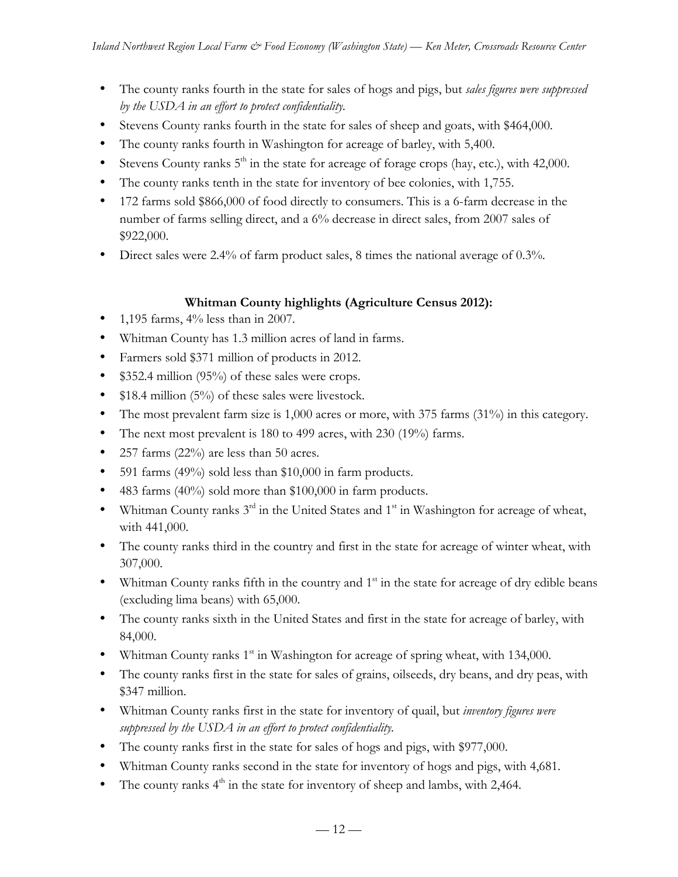- The county ranks fourth in the state for sales of hogs and pigs, but *sales figures were suppressed by the USDA in an effort to protect confidentiality.*
- Stevens County ranks fourth in the state for sales of sheep and goats, with \$464,000.
- The county ranks fourth in Washington for acreage of barley, with 5,400.
- Stevens County ranks  $5<sup>th</sup>$  in the state for acreage of forage crops (hay, etc.), with 42,000.
- The county ranks tenth in the state for inventory of bee colonies, with 1,755.
- 172 farms sold \$866,000 of food directly to consumers. This is a 6-farm decrease in the number of farms selling direct, and a 6% decrease in direct sales, from 2007 sales of \$922,000.
- Direct sales were 2.4% of farm product sales, 8 times the national average of 0.3%.

## **Whitman County highlights (Agriculture Census 2012):**

- 1,195 farms,  $4\%$  less than in 2007.
- Whitman County has 1.3 million acres of land in farms.
- Farmers sold \$371 million of products in 2012.
- \$352.4 million (95%) of these sales were crops.
- \$18.4 million (5%) of these sales were livestock.
- The most prevalent farm size is 1,000 acres or more, with 375 farms (31%) in this category.
- The next most prevalent is 180 to 499 acres, with 230 (19%) farms.
- 257 farms (22%) are less than 50 acres.
- 591 farms (49%) sold less than \$10,000 in farm products.
- 483 farms (40%) sold more than \$100,000 in farm products.
- Whitman County ranks  $3<sup>rd</sup>$  in the United States and  $1<sup>st</sup>$  in Washington for acreage of wheat, with 441,000.
- The county ranks third in the country and first in the state for acreage of winter wheat, with 307,000.
- Whitman County ranks fifth in the country and  $1<sup>st</sup>$  in the state for acreage of dry edible beans (excluding lima beans) with 65,000.
- The county ranks sixth in the United States and first in the state for acreage of barley, with 84,000.
- Whitman County ranks  $1<sup>st</sup>$  in Washington for acreage of spring wheat, with 134,000.
- The county ranks first in the state for sales of grains, oilseeds, dry beans, and dry peas, with \$347 million.
- Whitman County ranks first in the state for inventory of quail, but *inventory figures were suppressed by the USDA in an effort to protect confidentiality.*
- The county ranks first in the state for sales of hogs and pigs, with \$977,000.
- Whitman County ranks second in the state for inventory of hogs and pigs, with 4,681.
- The county ranks  $4<sup>th</sup>$  in the state for inventory of sheep and lambs, with 2,464.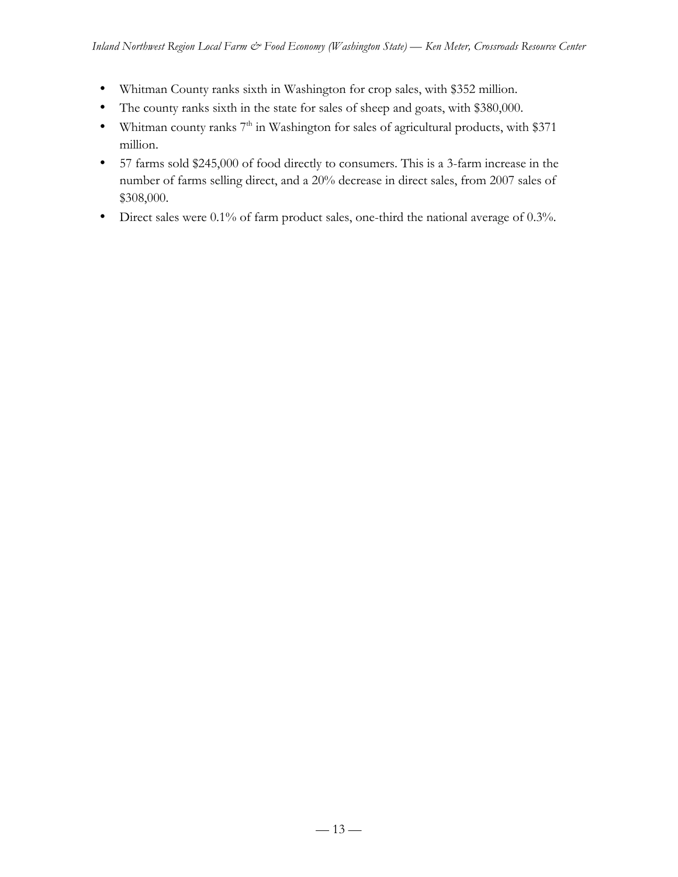- Whitman County ranks sixth in Washington for crop sales, with \$352 million.
- The county ranks sixth in the state for sales of sheep and goats, with \$380,000.
- Whitman county ranks  $7<sup>th</sup>$  in Washington for sales of agricultural products, with \$371 million.
- 57 farms sold \$245,000 of food directly to consumers. This is a 3-farm increase in the number of farms selling direct, and a 20% decrease in direct sales, from 2007 sales of \$308,000.
- Direct sales were 0.1% of farm product sales, one-third the national average of 0.3%.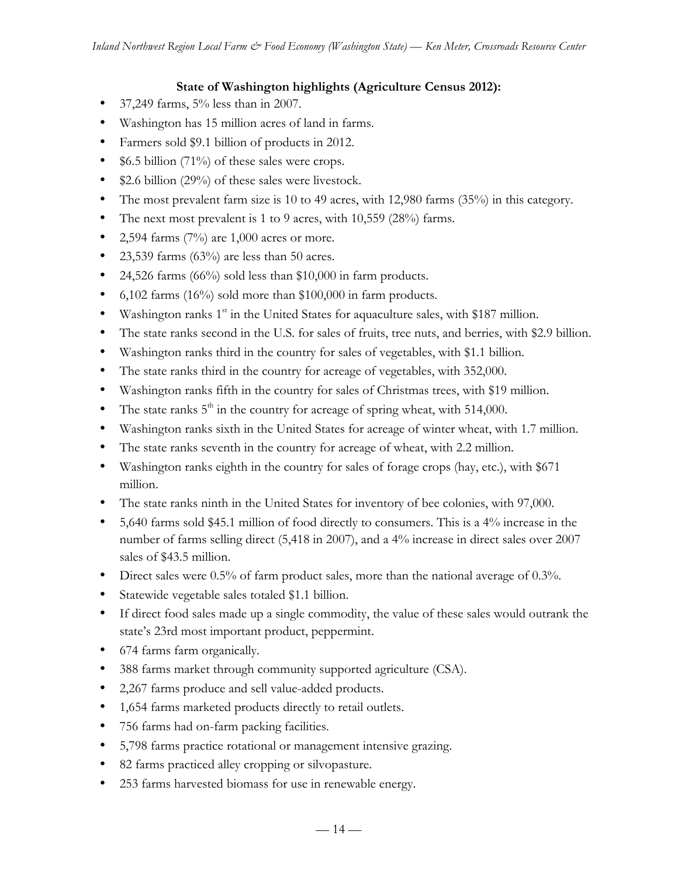### **State of Washington highlights (Agriculture Census 2012):**

- 37,249 farms, 5% less than in 2007.
- Washington has 15 million acres of land in farms.
- Farmers sold \$9.1 billion of products in 2012.
- \$6.5 billion (71%) of these sales were crops.
- \$2.6 billion (29%) of these sales were livestock.
- The most prevalent farm size is 10 to 49 acres, with 12,980 farms (35%) in this category.
- The next most prevalent is 1 to 9 acres, with 10,559 (28%) farms.
- 2,594 farms  $(7%)$  are 1,000 acres or more.
- 23,539 farms  $(63\%)$  are less than 50 acres.
- 24,526 farms (66%) sold less than \$10,000 in farm products.
- 6,102 farms (16%) sold more than \$100,000 in farm products.
- Washington ranks  $1<sup>st</sup>$  in the United States for aquaculture sales, with \$187 million.
- The state ranks second in the U.S. for sales of fruits, tree nuts, and berries, with \$2.9 billion.
- Washington ranks third in the country for sales of vegetables, with \$1.1 billion.
- The state ranks third in the country for acreage of vegetables, with 352,000.
- Washington ranks fifth in the country for sales of Christmas trees, with \$19 million.
- The state ranks  $5<sup>th</sup>$  in the country for acreage of spring wheat, with 514,000.
- Washington ranks sixth in the United States for acreage of winter wheat, with 1.7 million.
- The state ranks seventh in the country for acreage of wheat, with 2.2 million.
- Washington ranks eighth in the country for sales of forage crops (hay, etc.), with \$671 million.
- The state ranks ninth in the United States for inventory of bee colonies, with 97,000.
- 5,640 farms sold \$45.1 million of food directly to consumers. This is a 4% increase in the number of farms selling direct (5,418 in 2007), and a 4% increase in direct sales over 2007 sales of \$43.5 million.
- Direct sales were 0.5% of farm product sales, more than the national average of 0.3%.
- Statewide vegetable sales totaled \$1.1 billion.
- If direct food sales made up a single commodity, the value of these sales would outrank the state's 23rd most important product, peppermint.
- 674 farms farm organically.
- 388 farms market through community supported agriculture (CSA).
- 2,267 farms produce and sell value-added products.
- 1,654 farms marketed products directly to retail outlets.
- 756 farms had on-farm packing facilities.
- 5,798 farms practice rotational or management intensive grazing.
- 82 farms practiced alley cropping or silvopasture.
- 253 farms harvested biomass for use in renewable energy.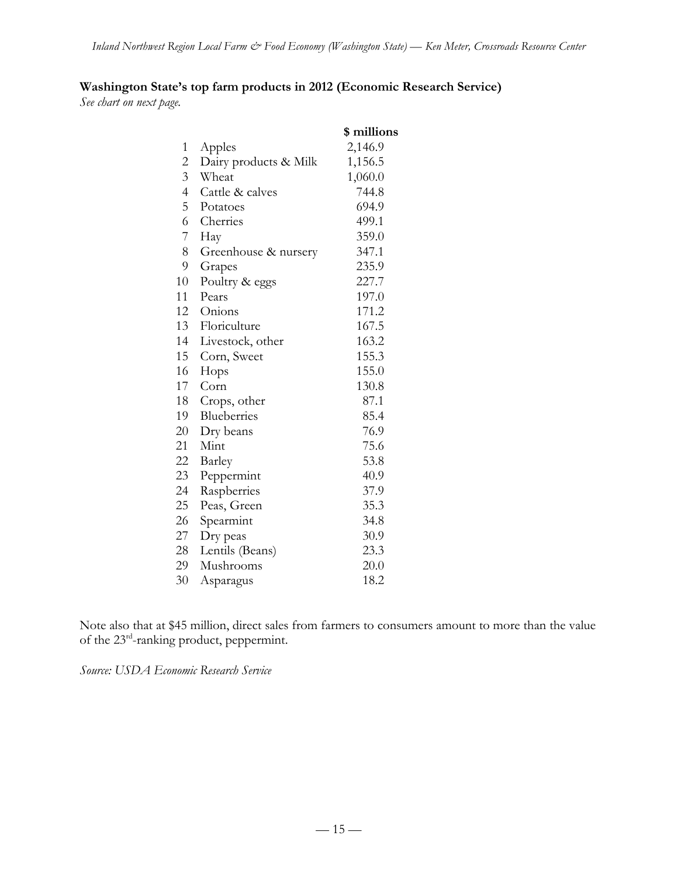## **Washington State's top farm products in 2012 (Economic Research Service)**

*See chart on next page.*

|                |                       | \$ millions |
|----------------|-----------------------|-------------|
| $\mathbf{1}$   | Apples                | 2,146.9     |
| $\overline{c}$ | Dairy products & Milk | 1,156.5     |
| $\overline{3}$ | Wheat                 | 1,060.0     |
| $\overline{4}$ | Cattle & calves       | 744.8       |
| 5              | Potatoes              | 694.9       |
| 6              | Cherries              | 499.1       |
| 7              | Hay                   | 359.0       |
| 8              | Greenhouse & nursery  | 347.1       |
| 9              | Grapes                | 235.9       |
| 10             | Poultry & eggs        | 227.7       |
| 11             | Pears                 | 197.0       |
| 12             | Onions                | 171.2       |
| 13             | Floriculture          | 167.5       |
| 14             | Livestock, other      | 163.2       |
| 15             | Corn, Sweet           | 155.3       |
| 16             | Hops                  | 155.0       |
| 17             | Corn                  | 130.8       |
| 18             | Crops, other          | 87.1        |
| 19             | Blueberries           | 85.4        |
| 20             | Dry beans             | 76.9        |
| 21             | Mint                  | 75.6        |
| 22             | Barley                | 53.8        |
| 23             | Peppermint            | 40.9        |
| 24             | Raspberries           | 37.9        |
| 25             | Peas, Green           | 35.3        |
| 26             | Spearmint             | 34.8        |
| 27             | Dry peas              | 30.9        |
| 28             | Lentils (Beans)       | 23.3        |
| 29             | Mushrooms             | 20.0        |
| 30             | Asparagus             | 18.2        |

Note also that at \$45 million, direct sales from farmers to consumers amount to more than the value of the  $23^{rd}$ -ranking product, peppermint.

*Source: USDA Economic Research Service*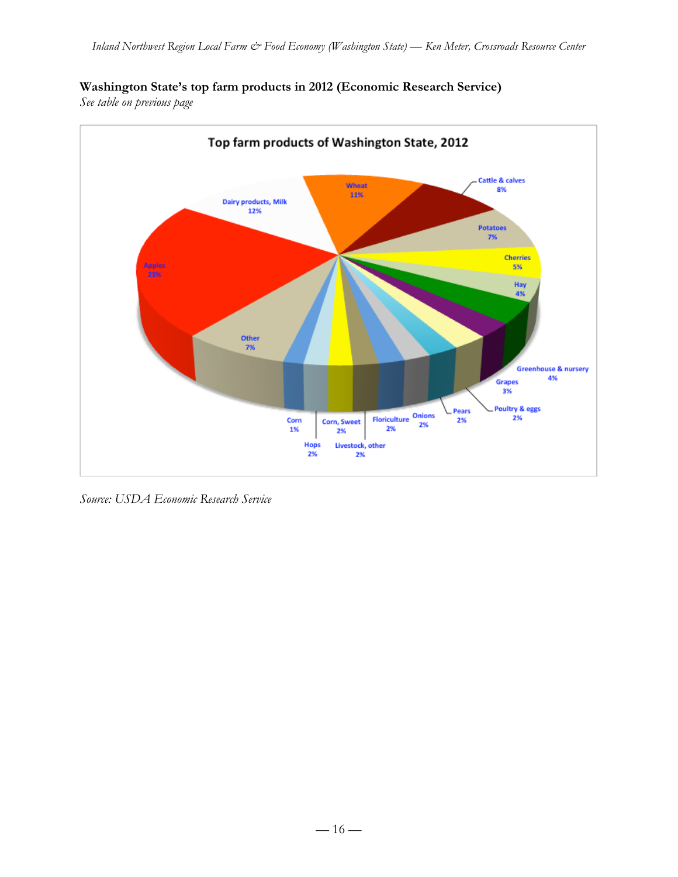## **Washington State's top farm products in 2012 (Economic Research Service)**

*See table on previous page*



*Source: USDA Economic Research Service*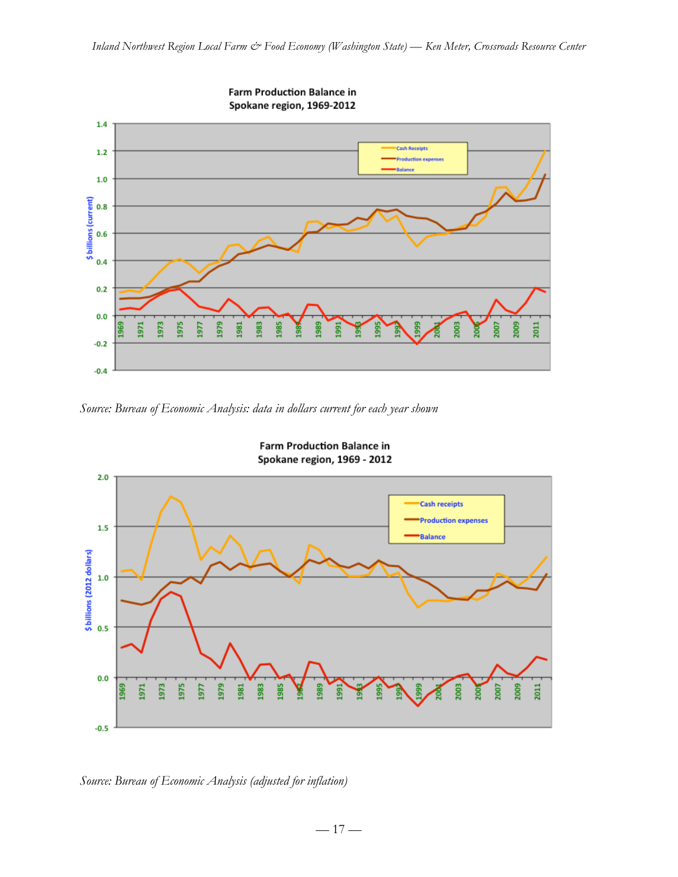

*Source: Bureau of Economic Analysis: data in dollars current for each year shown*



**Farm Production Balance in** Spokane region, 1969 - 2012

*Source: Bureau of Economic Analysis (adjusted for inflation)*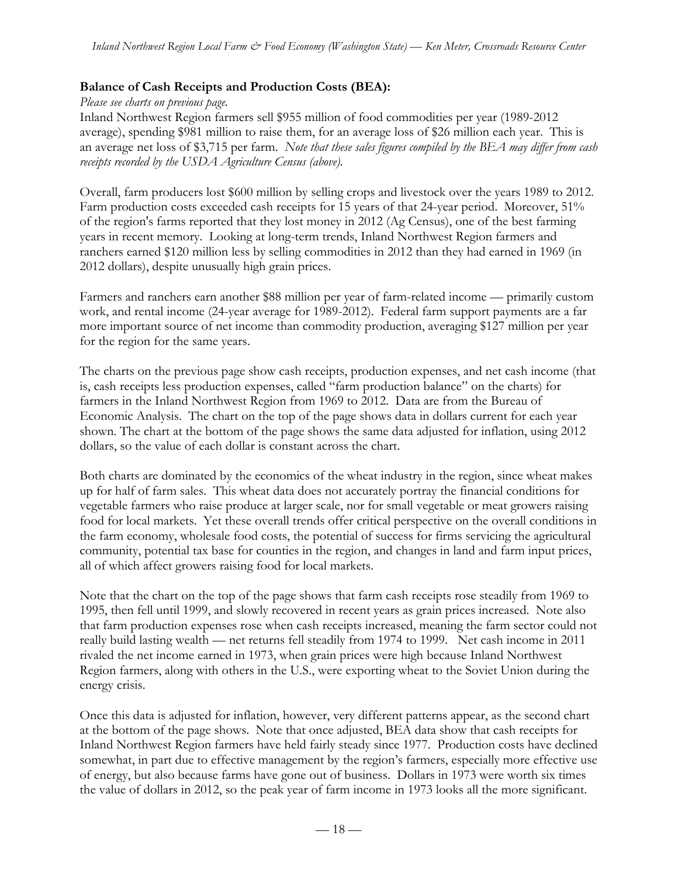### **Balance of Cash Receipts and Production Costs (BEA):**

*Please see charts on previous page.* Inland Northwest Region farmers sell \$955 million of food commodities per year (1989-2012 average), spending \$981 million to raise them, for an average loss of \$26 million each year. This is an average net loss of \$3,715 per farm. *Note that these sales figures compiled by the BEA may differ from cash receipts recorded by the USDA Agriculture Census (above).*

Overall, farm producers lost \$600 million by selling crops and livestock over the years 1989 to 2012. Farm production costs exceeded cash receipts for 15 years of that 24-year period. Moreover, 51% of the region's farms reported that they lost money in 2012 (Ag Census), one of the best farming years in recent memory. Looking at long-term trends, Inland Northwest Region farmers and ranchers earned \$120 million less by selling commodities in 2012 than they had earned in 1969 (in 2012 dollars), despite unusually high grain prices.

Farmers and ranchers earn another \$88 million per year of farm-related income — primarily custom work, and rental income (24-year average for 1989-2012). Federal farm support payments are a far more important source of net income than commodity production, averaging \$127 million per year for the region for the same years.

The charts on the previous page show cash receipts, production expenses, and net cash income (that is, cash receipts less production expenses, called "farm production balance" on the charts) for farmers in the Inland Northwest Region from 1969 to 2012. Data are from the Bureau of Economic Analysis. The chart on the top of the page shows data in dollars current for each year shown. The chart at the bottom of the page shows the same data adjusted for inflation, using 2012 dollars, so the value of each dollar is constant across the chart.

Both charts are dominated by the economics of the wheat industry in the region, since wheat makes up for half of farm sales. This wheat data does not accurately portray the financial conditions for vegetable farmers who raise produce at larger scale, nor for small vegetable or meat growers raising food for local markets. Yet these overall trends offer critical perspective on the overall conditions in the farm economy, wholesale food costs, the potential of success for firms servicing the agricultural community, potential tax base for counties in the region, and changes in land and farm input prices, all of which affect growers raising food for local markets.

Note that the chart on the top of the page shows that farm cash receipts rose steadily from 1969 to 1995, then fell until 1999, and slowly recovered in recent years as grain prices increased. Note also that farm production expenses rose when cash receipts increased, meaning the farm sector could not really build lasting wealth — net returns fell steadily from 1974 to 1999. Net cash income in 2011 rivaled the net income earned in 1973, when grain prices were high because Inland Northwest Region farmers, along with others in the U.S., were exporting wheat to the Soviet Union during the energy crisis.

Once this data is adjusted for inflation, however, very different patterns appear, as the second chart at the bottom of the page shows. Note that once adjusted, BEA data show that cash receipts for Inland Northwest Region farmers have held fairly steady since 1977. Production costs have declined somewhat, in part due to effective management by the region's farmers, especially more effective use of energy, but also because farms have gone out of business. Dollars in 1973 were worth six times the value of dollars in 2012, so the peak year of farm income in 1973 looks all the more significant.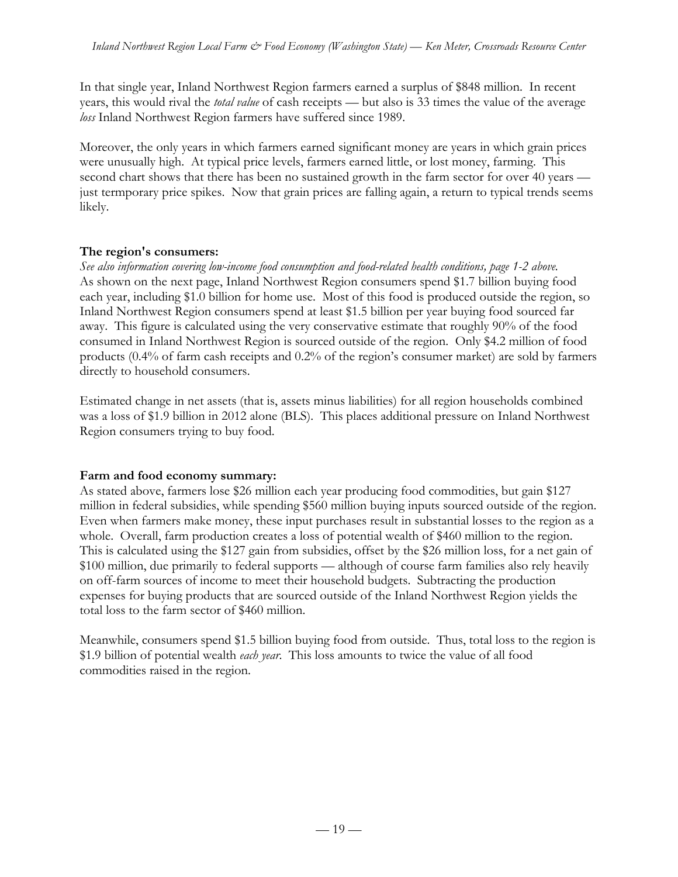In that single year, Inland Northwest Region farmers earned a surplus of \$848 million. In recent years, this would rival the *total value* of cash receipts — but also is 33 times the value of the average *loss* Inland Northwest Region farmers have suffered since 1989.

Moreover, the only years in which farmers earned significant money are years in which grain prices were unusually high. At typical price levels, farmers earned little, or lost money, farming. This second chart shows that there has been no sustained growth in the farm sector for over 40 years just termporary price spikes. Now that grain prices are falling again, a return to typical trends seems likely.

## **The region's consumers:**

*See also information covering low-income food consumption and food-related health conditions, page 1-2 above.* As shown on the next page, Inland Northwest Region consumers spend \$1.7 billion buying food each year, including \$1.0 billion for home use. Most of this food is produced outside the region, so Inland Northwest Region consumers spend at least \$1.5 billion per year buying food sourced far away. This figure is calculated using the very conservative estimate that roughly 90% of the food consumed in Inland Northwest Region is sourced outside of the region. Only \$4.2 million of food products (0.4% of farm cash receipts and 0.2% of the region's consumer market) are sold by farmers directly to household consumers.

Estimated change in net assets (that is, assets minus liabilities) for all region households combined was a loss of \$1.9 billion in 2012 alone (BLS). This places additional pressure on Inland Northwest Region consumers trying to buy food.

### **Farm and food economy summary:**

As stated above, farmers lose \$26 million each year producing food commodities, but gain \$127 million in federal subsidies, while spending \$560 million buying inputs sourced outside of the region. Even when farmers make money, these input purchases result in substantial losses to the region as a whole. Overall, farm production creates a loss of potential wealth of \$460 million to the region. This is calculated using the \$127 gain from subsidies, offset by the \$26 million loss, for a net gain of \$100 million, due primarily to federal supports — although of course farm families also rely heavily on off-farm sources of income to meet their household budgets. Subtracting the production expenses for buying products that are sourced outside of the Inland Northwest Region yields the total loss to the farm sector of \$460 million.

Meanwhile, consumers spend \$1.5 billion buying food from outside. Thus, total loss to the region is \$1.9 billion of potential wealth *each year*. This loss amounts to twice the value of all food commodities raised in the region.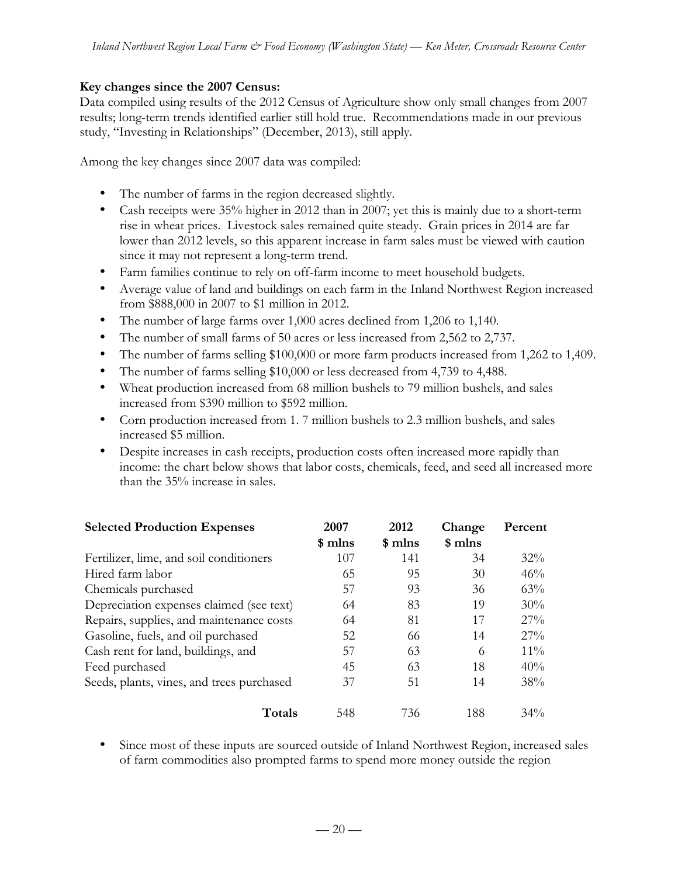#### **Key changes since the 2007 Census:**

Data compiled using results of the 2012 Census of Agriculture show only small changes from 2007 results; long-term trends identified earlier still hold true. Recommendations made in our previous study, "Investing in Relationships" (December, 2013), still apply.

Among the key changes since 2007 data was compiled:

- The number of farms in the region decreased slightly.
- Cash receipts were 35% higher in 2012 than in 2007; yet this is mainly due to a short-term rise in wheat prices. Livestock sales remained quite steady. Grain prices in 2014 are far lower than 2012 levels, so this apparent increase in farm sales must be viewed with caution since it may not represent a long-term trend.
- Farm families continue to rely on off-farm income to meet household budgets.
- Average value of land and buildings on each farm in the Inland Northwest Region increased from \$888,000 in 2007 to \$1 million in 2012.
- The number of large farms over 1,000 acres declined from 1,206 to 1,140.
- The number of small farms of 50 acres or less increased from 2,562 to 2,737.
- The number of farms selling \$100,000 or more farm products increased from 1,262 to 1,409.
- The number of farms selling \$10,000 or less decreased from 4,739 to 4,488.
- Wheat production increased from 68 million bushels to 79 million bushels, and sales increased from \$390 million to \$592 million.
- Corn production increased from 1. 7 million bushels to 2.3 million bushels, and sales increased \$5 million.
- Despite increases in cash receipts, production costs often increased more rapidly than income: the chart below shows that labor costs, chemicals, feed, and seed all increased more than the 35% increase in sales.

| <b>Selected Production Expenses</b>       | 2007    | 2012    | Change  | Percent |
|-------------------------------------------|---------|---------|---------|---------|
|                                           | \$ mlns | \$ mlns | \$ mlns |         |
| Fertilizer, lime, and soil conditioners   | 107     | 141     | 34      | $32\%$  |
| Hired farm labor                          | 65      | 95      | 30      | 46%     |
| Chemicals purchased                       | 57      | 93      | 36      | 63%     |
| Depreciation expenses claimed (see text)  | 64      | 83      | 19      | 30%     |
| Repairs, supplies, and maintenance costs  | 64      | 81      | 17      | 27%     |
| Gasoline, fuels, and oil purchased        | 52      | 66      | 14      | $27\%$  |
| Cash rent for land, buildings, and        | 57      | 63      | 6       | $11\%$  |
| Feed purchased                            | 45      | 63      | 18      | 40%     |
| Seeds, plants, vines, and trees purchased | 37      | 51      | 14      | 38%     |
| Totals                                    | 548     | 736     | 188     | $34\%$  |

• Since most of these inputs are sourced outside of Inland Northwest Region, increased sales of farm commodities also prompted farms to spend more money outside the region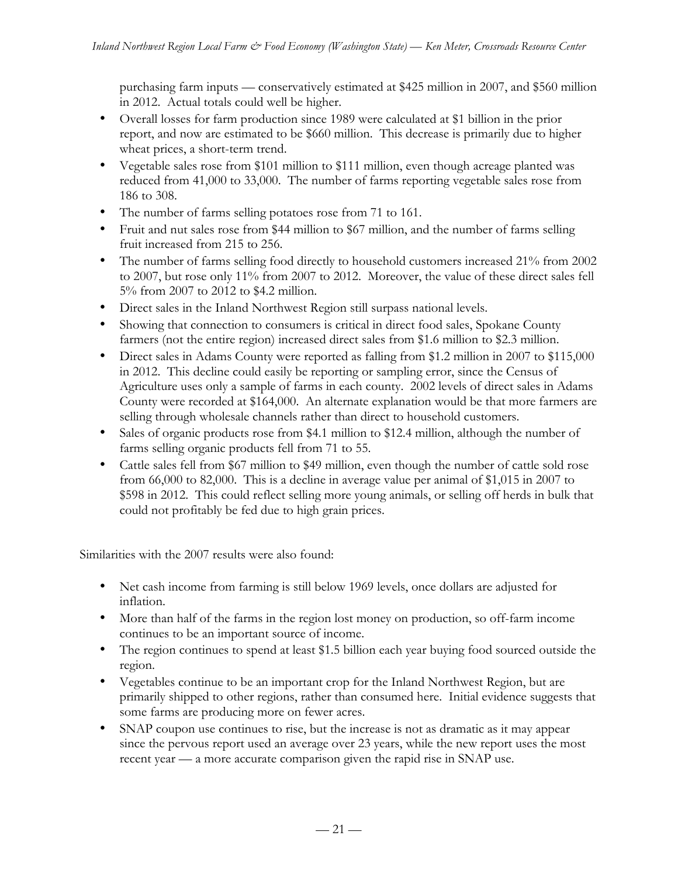purchasing farm inputs — conservatively estimated at \$425 million in 2007, and \$560 million in 2012. Actual totals could well be higher.

- Overall losses for farm production since 1989 were calculated at \$1 billion in the prior report, and now are estimated to be \$660 million. This decrease is primarily due to higher wheat prices, a short-term trend.
- Vegetable sales rose from \$101 million to \$111 million, even though acreage planted was reduced from 41,000 to 33,000. The number of farms reporting vegetable sales rose from 186 to 308.
- The number of farms selling potatoes rose from 71 to 161.
- Fruit and nut sales rose from \$44 million to \$67 million, and the number of farms selling fruit increased from 215 to 256.
- The number of farms selling food directly to household customers increased 21% from 2002 to 2007, but rose only 11% from 2007 to 2012. Moreover, the value of these direct sales fell 5% from 2007 to 2012 to \$4.2 million.
- Direct sales in the Inland Northwest Region still surpass national levels.
- Showing that connection to consumers is critical in direct food sales, Spokane County farmers (not the entire region) increased direct sales from \$1.6 million to \$2.3 million.
- Direct sales in Adams County were reported as falling from \$1.2 million in 2007 to \$115,000 in 2012. This decline could easily be reporting or sampling error, since the Census of Agriculture uses only a sample of farms in each county. 2002 levels of direct sales in Adams County were recorded at \$164,000. An alternate explanation would be that more farmers are selling through wholesale channels rather than direct to household customers.
- Sales of organic products rose from \$4.1 million to \$12.4 million, although the number of farms selling organic products fell from 71 to 55.
- Cattle sales fell from \$67 million to \$49 million, even though the number of cattle sold rose from 66,000 to 82,000. This is a decline in average value per animal of \$1,015 in 2007 to \$598 in 2012. This could reflect selling more young animals, or selling off herds in bulk that could not profitably be fed due to high grain prices.

Similarities with the 2007 results were also found:

- Net cash income from farming is still below 1969 levels, once dollars are adjusted for inflation.
- More than half of the farms in the region lost money on production, so off-farm income continues to be an important source of income.
- The region continues to spend at least \$1.5 billion each year buying food sourced outside the region.
- Vegetables continue to be an important crop for the Inland Northwest Region, but are primarily shipped to other regions, rather than consumed here. Initial evidence suggests that some farms are producing more on fewer acres.
- SNAP coupon use continues to rise, but the increase is not as dramatic as it may appear since the pervous report used an average over 23 years, while the new report uses the most recent year — a more accurate comparison given the rapid rise in SNAP use.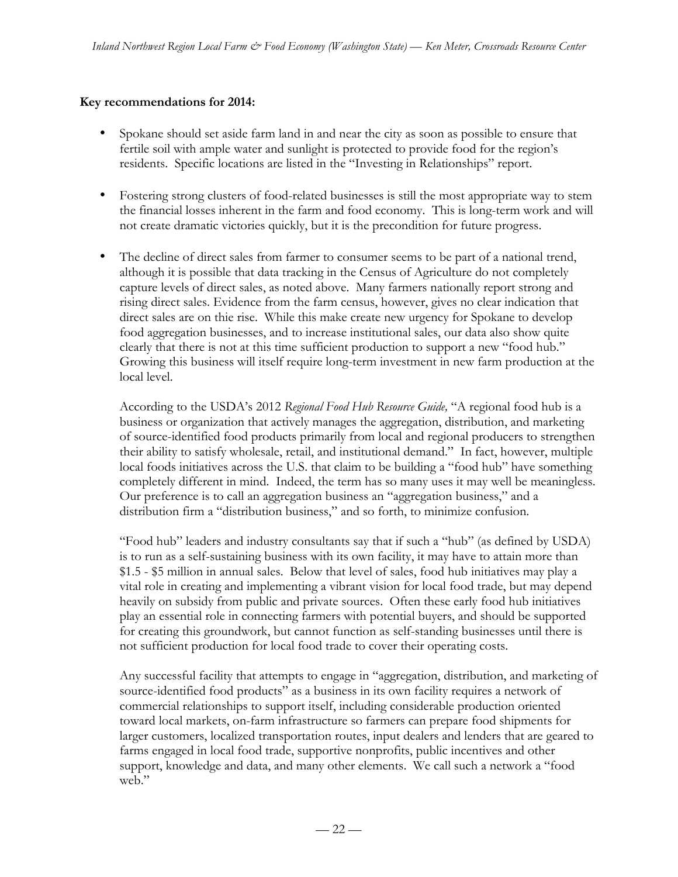### **Key recommendations for 2014:**

- Spokane should set aside farm land in and near the city as soon as possible to ensure that fertile soil with ample water and sunlight is protected to provide food for the region's residents. Specific locations are listed in the "Investing in Relationships" report.
- Fostering strong clusters of food-related businesses is still the most appropriate way to stem the financial losses inherent in the farm and food economy. This is long-term work and will not create dramatic victories quickly, but it is the precondition for future progress.
- The decline of direct sales from farmer to consumer seems to be part of a national trend, although it is possible that data tracking in the Census of Agriculture do not completely capture levels of direct sales, as noted above. Many farmers nationally report strong and rising direct sales. Evidence from the farm census, however, gives no clear indication that direct sales are on thie rise. While this make create new urgency for Spokane to develop food aggregation businesses, and to increase institutional sales, our data also show quite clearly that there is not at this time sufficient production to support a new "food hub." Growing this business will itself require long-term investment in new farm production at the local level.

According to the USDA's 2012 *Regional Food Hub Resource Guide,* "A regional food hub is a business or organization that actively manages the aggregation, distribution, and marketing of source-identified food products primarily from local and regional producers to strengthen their ability to satisfy wholesale, retail, and institutional demand." In fact, however, multiple local foods initiatives across the U.S. that claim to be building a "food hub" have something completely different in mind. Indeed, the term has so many uses it may well be meaningless. Our preference is to call an aggregation business an "aggregation business," and a distribution firm a "distribution business," and so forth, to minimize confusion.

"Food hub" leaders and industry consultants say that if such a "hub" (as defined by USDA) is to run as a self-sustaining business with its own facility, it may have to attain more than \$1.5 - \$5 million in annual sales. Below that level of sales, food hub initiatives may play a vital role in creating and implementing a vibrant vision for local food trade, but may depend heavily on subsidy from public and private sources. Often these early food hub initiatives play an essential role in connecting farmers with potential buyers, and should be supported for creating this groundwork, but cannot function as self-standing businesses until there is not sufficient production for local food trade to cover their operating costs.

Any successful facility that attempts to engage in "aggregation, distribution, and marketing of source-identified food products" as a business in its own facility requires a network of commercial relationships to support itself, including considerable production oriented toward local markets, on-farm infrastructure so farmers can prepare food shipments for larger customers, localized transportation routes, input dealers and lenders that are geared to farms engaged in local food trade, supportive nonprofits, public incentives and other support, knowledge and data, and many other elements. We call such a network a "food web."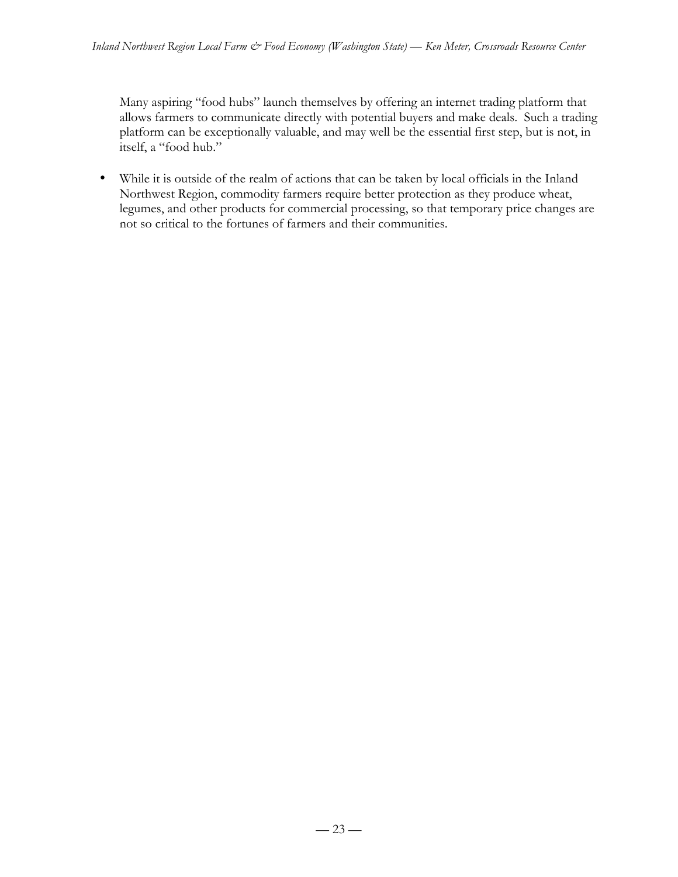Many aspiring "food hubs" launch themselves by offering an internet trading platform that allows farmers to communicate directly with potential buyers and make deals. Such a trading platform can be exceptionally valuable, and may well be the essential first step, but is not, in itself, a "food hub."

• While it is outside of the realm of actions that can be taken by local officials in the Inland Northwest Region, commodity farmers require better protection as they produce wheat, legumes, and other products for commercial processing, so that temporary price changes are not so critical to the fortunes of farmers and their communities.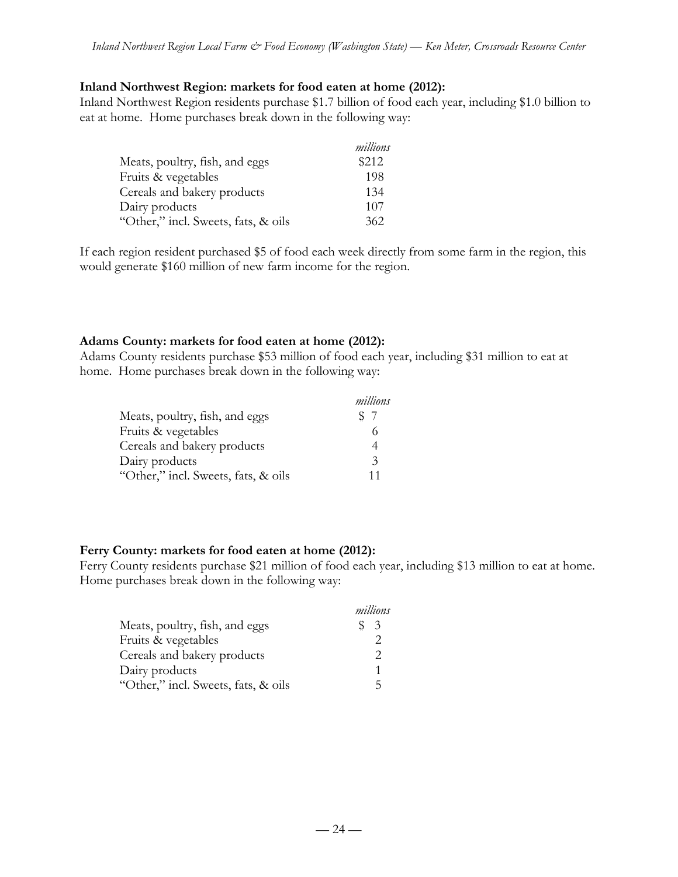#### **Inland Northwest Region: markets for food eaten at home (2012):**

Inland Northwest Region residents purchase \$1.7 billion of food each year, including \$1.0 billion to eat at home. Home purchases break down in the following way:

|                                     | millions |
|-------------------------------------|----------|
| Meats, poultry, fish, and eggs      | \$212    |
| Fruits & vegetables                 | 198      |
| Cereals and bakery products         | 134      |
| Dairy products                      | 107      |
| "Other," incl. Sweets, fats, & oils | 362      |

If each region resident purchased \$5 of food each week directly from some farm in the region, this would generate \$160 million of new farm income for the region.

#### **Adams County: markets for food eaten at home (2012):**

Adams County residents purchase \$53 million of food each year, including \$31 million to eat at home. Home purchases break down in the following way:

|                                     | millions      |
|-------------------------------------|---------------|
| Meats, poultry, fish, and eggs      | \$7           |
| Fruits & vegetables                 |               |
| Cereals and bakery products         |               |
| Dairy products                      | $\mathcal{Z}$ |
| "Other," incl. Sweets, fats, & oils | 11            |

#### **Ferry County: markets for food eaten at home (2012):**

Ferry County residents purchase \$21 million of food each year, including \$13 million to eat at home. Home purchases break down in the following way:

|                                     | millions |
|-------------------------------------|----------|
| Meats, poultry, fish, and eggs      | - 3      |
| Fruits & vegetables                 |          |
| Cereals and bakery products         |          |
| Dairy products                      |          |
| "Other," incl. Sweets, fats, & oils | ц        |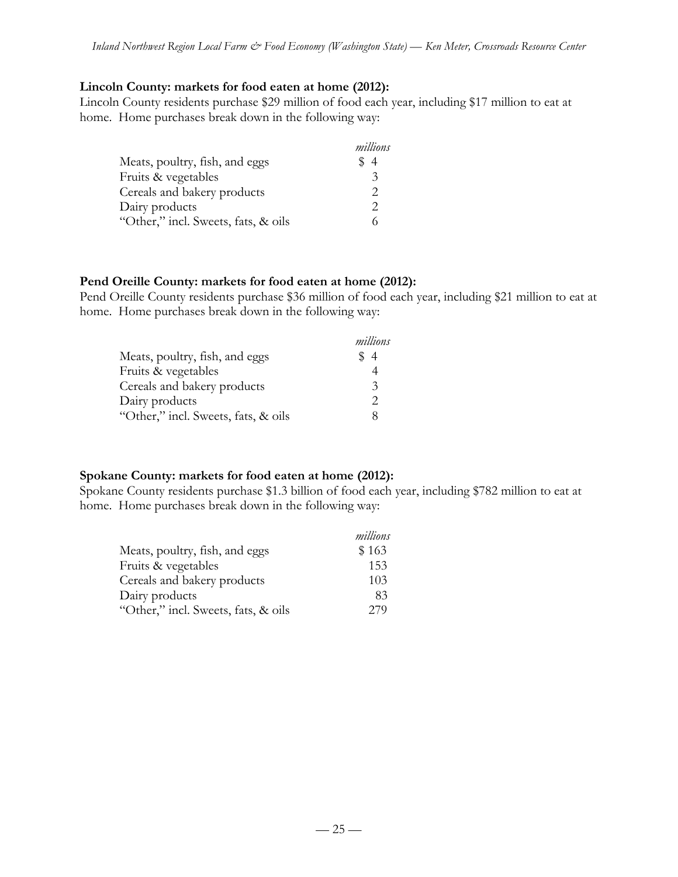#### **Lincoln County: markets for food eaten at home (2012):**

Lincoln County residents purchase \$29 million of food each year, including \$17 million to eat at home. Home purchases break down in the following way:

|                                     | millions                    |
|-------------------------------------|-----------------------------|
| Meats, poultry, fish, and eggs      | \$4                         |
| Fruits & vegetables                 | $\mathbf{\hat{z}}$          |
| Cereals and bakery products         | $\mathcal{D}_{\mathcal{L}}$ |
| Dairy products                      | $\mathcal{D}_{\mathcal{L}}$ |
| "Other," incl. Sweets, fats, & oils |                             |

#### **Pend Oreille County: markets for food eaten at home (2012):**

Pend Oreille County residents purchase \$36 million of food each year, including \$21 million to eat at home. Home purchases break down in the following way:

|                                     | millions                    |
|-------------------------------------|-----------------------------|
| Meats, poultry, fish, and eggs      | \$4                         |
| Fruits & vegetables                 |                             |
| Cereals and bakery products         | 3                           |
| Dairy products                      | $\mathcal{D}_{\mathcal{L}}$ |
| "Other," incl. Sweets, fats, & oils | 8                           |

#### **Spokane County: markets for food eaten at home (2012):**

Spokane County residents purchase \$1.3 billion of food each year, including \$782 million to eat at home. Home purchases break down in the following way:

|                                     | millions |
|-------------------------------------|----------|
| Meats, poultry, fish, and eggs      | \$163    |
| Fruits & vegetables                 | 153      |
| Cereals and bakery products         | 103      |
| Dairy products                      | 83       |
| "Other," incl. Sweets, fats, & oils | 279      |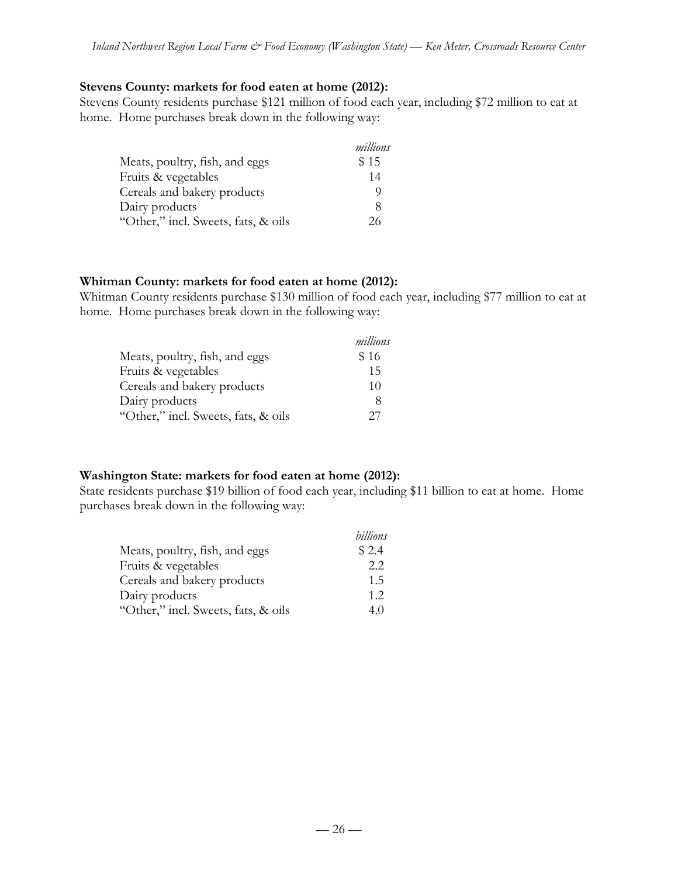#### **Stevens County: markets for food eaten at home (2012):**

Stevens County residents purchase \$121 million of food each year, including \$72 million to eat at home. Home purchases break down in the following way:

|                                     | millions |
|-------------------------------------|----------|
| Meats, poultry, fish, and eggs      | \$15     |
| Fruits & vegetables                 | 14       |
| Cereals and bakery products         | O)       |
| Dairy products                      | 8        |
| "Other," incl. Sweets, fats, & oils | 26       |

#### **Whitman County: markets for food eaten at home (2012):**

Whitman County residents purchase \$130 million of food each year, including \$77 million to eat at home. Home purchases break down in the following way:

|                                     | millions |
|-------------------------------------|----------|
| Meats, poultry, fish, and eggs      | \$16     |
| Fruits & vegetables                 | 15       |
| Cereals and bakery products         | 10       |
| Dairy products                      | 8        |
| "Other," incl. Sweets, fats, & oils | 27       |

#### **Washington State: markets for food eaten at home (2012):**

State residents purchase \$19 billion of food each year, including \$11 billion to eat at home. Home purchases break down in the following way:

|                                     | billions |
|-------------------------------------|----------|
| Meats, poultry, fish, and eggs      | \$2.4    |
| Fruits & vegetables                 | 2.2      |
| Cereals and bakery products         | 1.5      |
| Dairy products                      | 1.2      |
| "Other," incl. Sweets, fats, & oils | 40       |